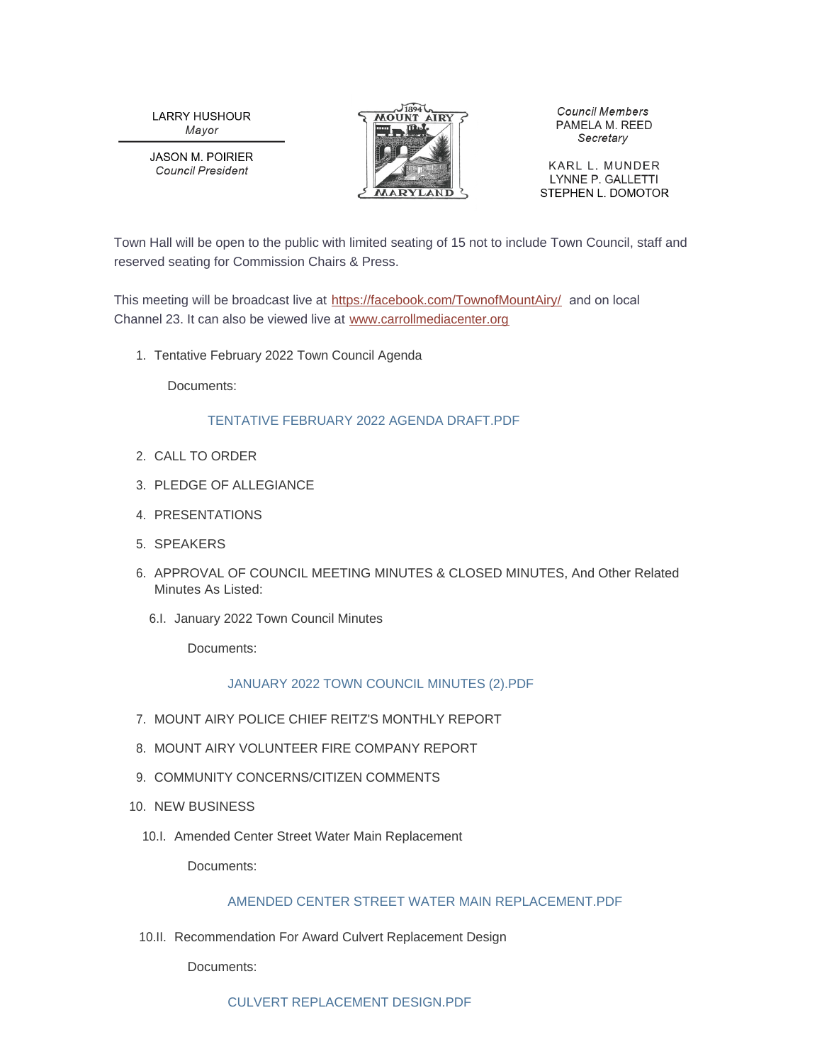**LARRY HUSHOUR** Mayor

**JASON M. POIRIER Council President** 



**Council Members** PAMELA M. REED Secretary

KARL L. MUNDER LYNNE P. GALLETTI STEPHEN L. DOMOTOR

Town Hall will be open to the public with limited seating of 15 not to include Town Council, staff and reserved seating for Commission Chairs & Press.

This meeting will be broadcast live at <https://facebook.com/TownofMountAiry/> and on local Channel 23. It can also be viewed live at [www.carrollmediacenter.org](https://www.carrollmediacenter.org/)

1. Tentative February 2022 Town Council Agenda

Documents:

# [TENTATIVE FEBRUARY 2022 AGENDA DRAFT.PDF](https://mountairymd.gov/AgendaCenter/ViewFile/Item/1560?fileID=36733)

- 2. CALL TO ORDER
- PLEDGE OF ALLEGIANCE 3.
- 4. PRESENTATIONS
- SPEAKERS 5.
- 6. APPROVAL OF COUNCIL MEETING MINUTES & CLOSED MINUTES, And Other Related Minutes As Listed:
	- 6.I. January 2022 Town Council Minutes

Documents:

# [JANUARY 2022 TOWN COUNCIL MINUTES \(2\).PDF](https://mountairymd.gov/AgendaCenter/ViewFile/Item/1553?fileID=36726)

- 7. MOUNT AIRY POLICE CHIEF REITZ'S MONTHLY REPORT
- 8. MOUNT AIRY VOLUNTEER FIRE COMPANY REPORT
- 9. COMMUNITY CONCERNS/CITIZEN COMMENTS
- 10. NEW BUSINESS
	- 10.I. Amended Center Street Water Main Replacement

Documents:

# [AMENDED CENTER STREET WATER MAIN REPLACEMENT.PDF](https://mountairymd.gov/AgendaCenter/ViewFile/Item/1554?fileID=36727)

10.II. Recommendation For Award Culvert Replacement Design

Documents: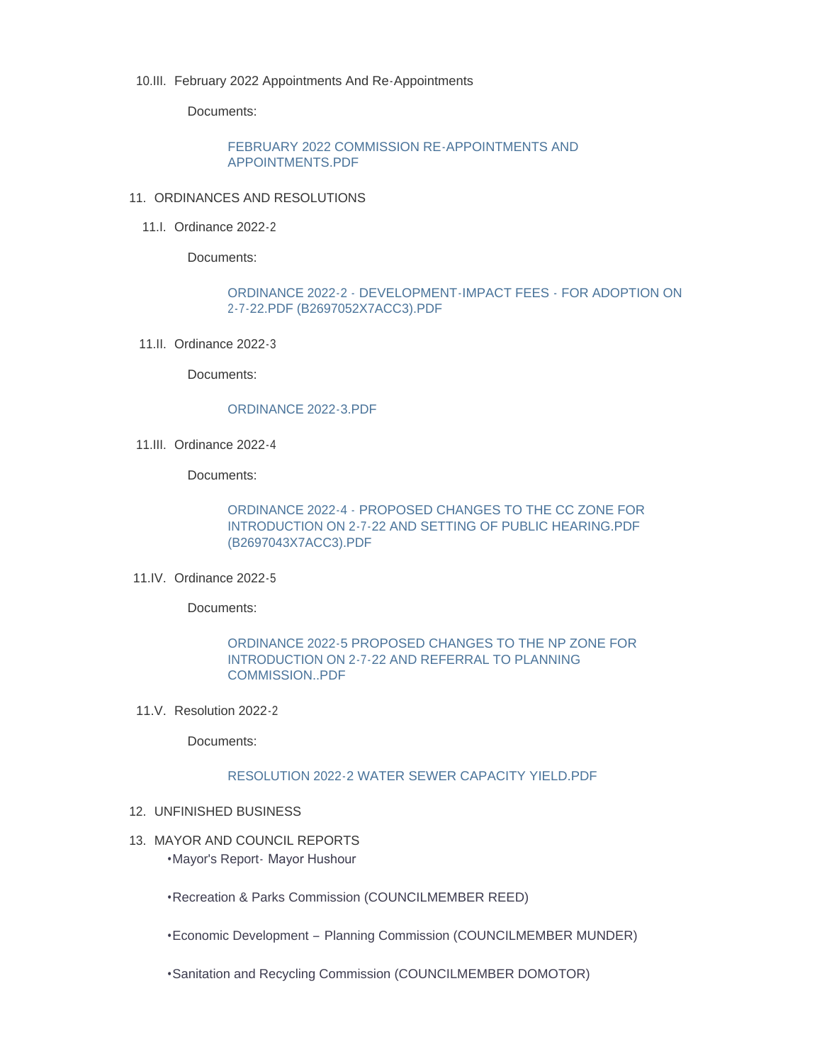10.III. February 2022 Appointments And Re-Appointments

Documents:

[FEBRUARY 2022 COMMISSION RE-APPOINTMENTS AND](https://mountairymd.gov/AgendaCenter/ViewFile/Item/1556?fileID=36729)  APPOINTMENTS.PDF

- 11. ORDINANCES AND RESOLUTIONS
	- 11.I. Ordinance 2022-2

Documents:

#### [ORDINANCE 2022-2 - DEVELOPMENT-IMPACT FEES - FOR ADOPTION ON](https://mountairymd.gov/AgendaCenter/ViewFile/Item/1557?fileID=36730)  2-7-22.PDF (B2697052X7ACC3).PDF

11.II. Ordinance 2022-3

Documents:

#### [ORDINANCE 2022-3.PDF](https://mountairymd.gov/AgendaCenter/ViewFile/Item/1558?fileID=36731)

11.III. Ordinance 2022-4

Documents:

### [ORDINANCE 2022-4 - PROPOSED CHANGES TO THE CC ZONE FOR](https://mountairymd.gov/AgendaCenter/ViewFile/Item/1559?fileID=36732)  INTRODUCTION ON 2-7-22 AND SETTING OF PUBLIC HEARING.PDF (B2697043X7ACC3).PDF

11.IV. Ordinance 2022-5

Documents:

### [ORDINANCE 2022-5 PROPOSED CHANGES TO THE NP ZONE FOR](https://mountairymd.gov/AgendaCenter/ViewFile/Item/1562?fileID=36734)  INTRODUCTION ON 2-7-22 AND REFERRAL TO PLANNING COMMISSION..PDF

11.V. Resolution 2022-2

Documents:

#### [RESOLUTION 2022-2 WATER SEWER CAPACITY YIELD.PDF](https://mountairymd.gov/AgendaCenter/ViewFile/Item/1567?fileID=36739)

- 12. UNFINISHED BUSINESS
- 13. MAYOR AND COUNCIL REPORTS •Mayor's Report- Mayor Hushour
	- •Recreation & Parks Commission (COUNCILMEMBER REED)
	- •Economic Development Planning Commission (COUNCILMEMBER MUNDER)
	- •Sanitation and Recycling Commission (COUNCILMEMBER DOMOTOR)